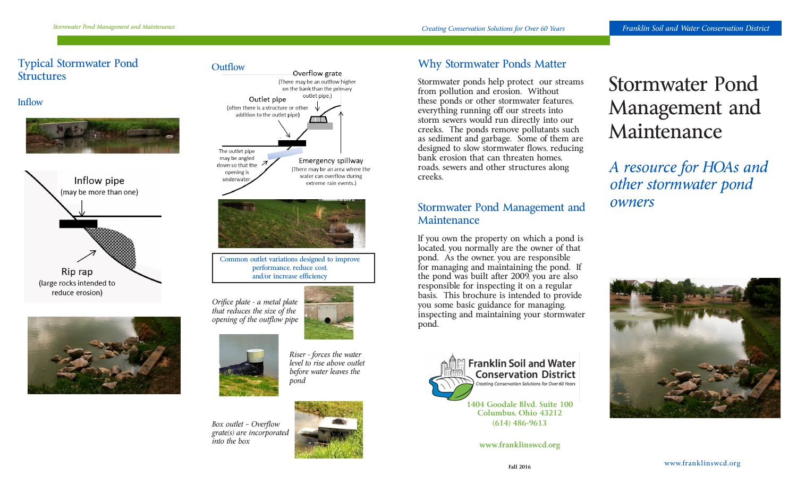## Typical Stormwater Pond **Structures**











*Box outlet – Overflow grate(s) are incorporated into the box* 



*before water leaves the* 

*pond*

## Why Stormwater Ponds Matter

Stormwater ponds help protect our streams from pollution and erosion. Without these ponds or other stormwater features, everything running off our streets into storm sewers would run directly into our creeks. The ponds remove pollutants such as sediment and garbage. Some of them are designed to slow stormwater flows, reducing bank erosion that can threaten homes, roads, sewers and other structures along creeks.

## Stormwater Pond Management and Maintenance

If you own the property on which a pond is located, you normally are the owner of that pond. As the owner, you are responsible for managing and maintaining the pond. If the pond was built after 2009, you are also responsible for inspecting it on a regular basis. This brochure is intended to provide you some basic guidance for managing, inspecting and maintaining your stormwater pond.



Creating Conservation Solutions for Over 60 Years

**1404 Goodale Blvd. Suite 100 Columbus, Ohio 43212 (614) 486-9613**

**www.franklinswcd.org**

# Stormwater Pond Management and Maintenance

*A resource for HOAs and other stormwater pond owners*